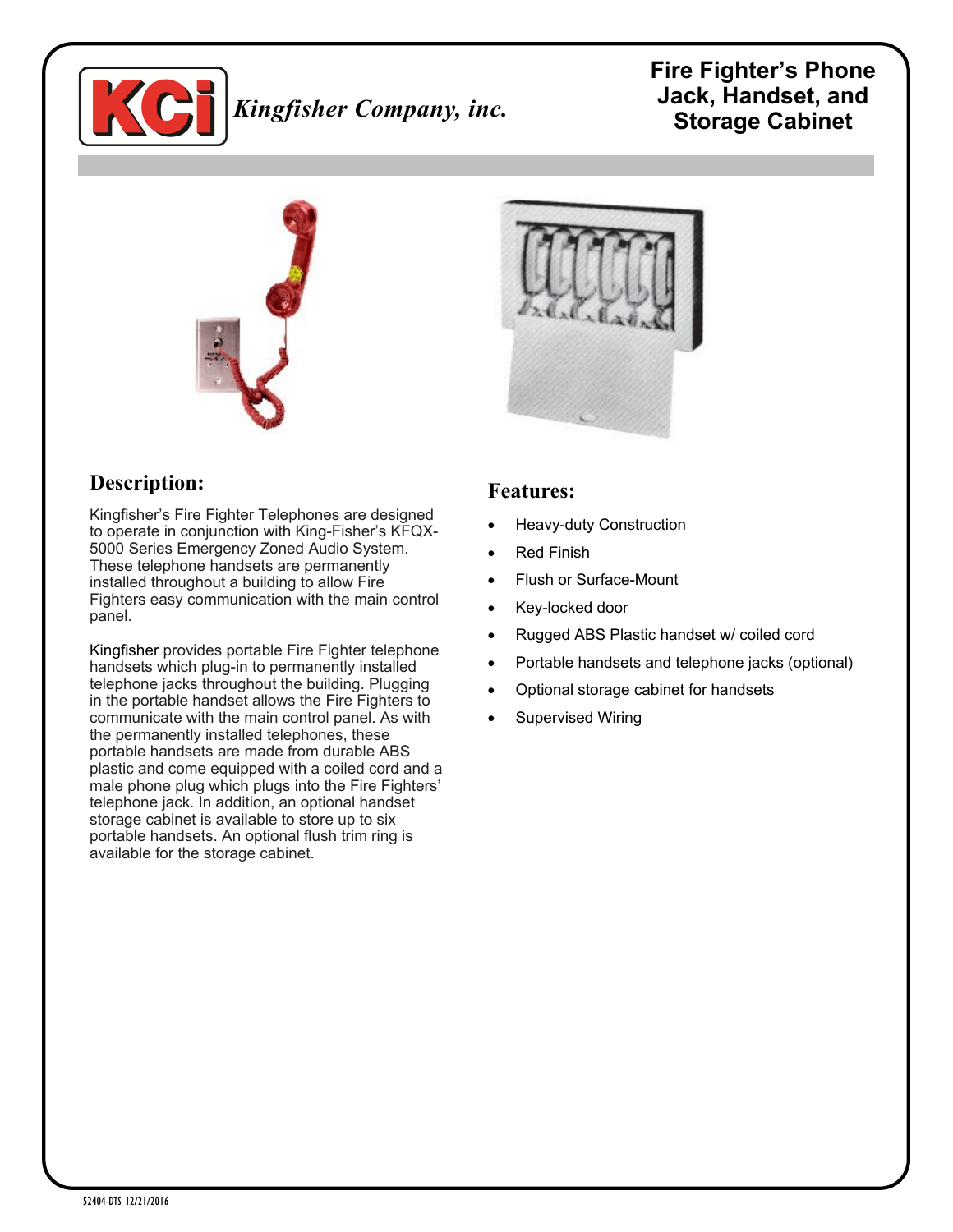

# *Kingfisher Company, inc.*

# **Fire Fighter's Phone Jack, Handset, and Storage Cabinet**



# **Description:**

Kingfisher's Fire Fighter Telephones are designed to operate in conjunction with King-Fisher's KFQX-5000 Series Emergency Zoned Audio System. These telephone handsets are permanently installed throughout a building to allow Fire Fighters easy communication with the main control panel.

Kingfisher provides portable Fire Fighter telephone handsets which plug-in to permanently installed telephone jacks throughout the building. Plugging in the portable handset allows the Fire Fighters to communicate with the main control panel. As with the permanently installed telephones, these portable handsets are made from durable ABS plastic and come equipped with a coiled cord and a male phone plug which plugs into the Fire Fighters' telephone jack. In addition, an optional handset storage cabinet is available to store up to six portable handsets. An optional flush trim ring is available for the storage cabinet.



#### **Features:**

- Heavy-duty Construction
- Red Finish
- Flush or Surface-Mount
- Key-locked door
- Rugged ABS Plastic handset w/ coiled cord
- Portable handsets and telephone jacks (optional)
- Optional storage cabinet for handsets
- Supervised Wiring